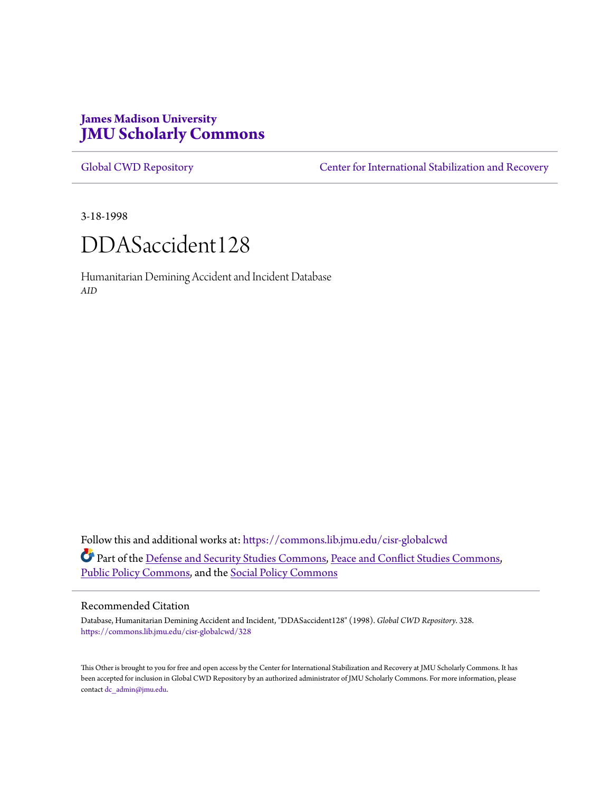# **James Madison University [JMU Scholarly Commons](https://commons.lib.jmu.edu?utm_source=commons.lib.jmu.edu%2Fcisr-globalcwd%2F328&utm_medium=PDF&utm_campaign=PDFCoverPages)**

[Global CWD Repository](https://commons.lib.jmu.edu/cisr-globalcwd?utm_source=commons.lib.jmu.edu%2Fcisr-globalcwd%2F328&utm_medium=PDF&utm_campaign=PDFCoverPages) **[Center for International Stabilization and Recovery](https://commons.lib.jmu.edu/cisr?utm_source=commons.lib.jmu.edu%2Fcisr-globalcwd%2F328&utm_medium=PDF&utm_campaign=PDFCoverPages)** 

3-18-1998



Humanitarian Demining Accident and Incident Database *AID*

Follow this and additional works at: [https://commons.lib.jmu.edu/cisr-globalcwd](https://commons.lib.jmu.edu/cisr-globalcwd?utm_source=commons.lib.jmu.edu%2Fcisr-globalcwd%2F328&utm_medium=PDF&utm_campaign=PDFCoverPages) Part of the [Defense and Security Studies Commons](http://network.bepress.com/hgg/discipline/394?utm_source=commons.lib.jmu.edu%2Fcisr-globalcwd%2F328&utm_medium=PDF&utm_campaign=PDFCoverPages), [Peace and Conflict Studies Commons](http://network.bepress.com/hgg/discipline/397?utm_source=commons.lib.jmu.edu%2Fcisr-globalcwd%2F328&utm_medium=PDF&utm_campaign=PDFCoverPages), [Public Policy Commons,](http://network.bepress.com/hgg/discipline/400?utm_source=commons.lib.jmu.edu%2Fcisr-globalcwd%2F328&utm_medium=PDF&utm_campaign=PDFCoverPages) and the [Social Policy Commons](http://network.bepress.com/hgg/discipline/1030?utm_source=commons.lib.jmu.edu%2Fcisr-globalcwd%2F328&utm_medium=PDF&utm_campaign=PDFCoverPages)

#### Recommended Citation

Database, Humanitarian Demining Accident and Incident, "DDASaccident128" (1998). *Global CWD Repository*. 328. [https://commons.lib.jmu.edu/cisr-globalcwd/328](https://commons.lib.jmu.edu/cisr-globalcwd/328?utm_source=commons.lib.jmu.edu%2Fcisr-globalcwd%2F328&utm_medium=PDF&utm_campaign=PDFCoverPages)

This Other is brought to you for free and open access by the Center for International Stabilization and Recovery at JMU Scholarly Commons. It has been accepted for inclusion in Global CWD Repository by an authorized administrator of JMU Scholarly Commons. For more information, please contact [dc\\_admin@jmu.edu.](mailto:dc_admin@jmu.edu)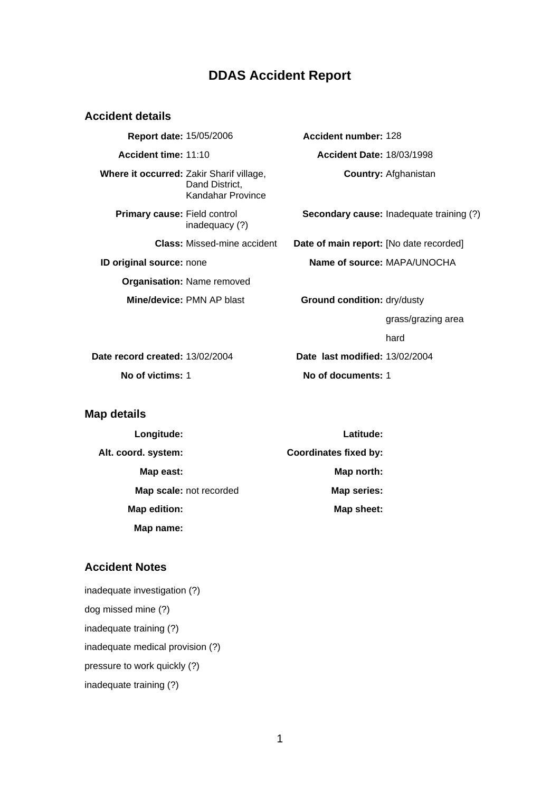## **DDAS Accident Report**

#### **Accident details**

**Report date:** 15/05/2006 **Accident number:** 128 **Accident time:** 11:10 **Accident Date:** 18/03/1998 **Where it occurred:** Zakir Sharif village, Dand District, Kandahar Province **Primary cause:** Field control inadequacy (?) **ID original source:** none **Name of source:** MAPA/UNOCHA **Organisation:** Name removed **Mine/device:** PMN AP blast **Ground condition:** dry/dusty

**Country:** Afghanistan

**Secondary cause:** Inadequate training (?)

**Class:** Missed-mine accident **Date of main report:** [No date recorded]

grass/grazing area

hard

**Date record created:** 13/02/2004 **Date last modified:** 13/02/2004 **No of victims:** 1 **No of documents:** 1

#### **Map details**

| Longitude:              | Latitude:                    |
|-------------------------|------------------------------|
| Alt. coord. system:     | <b>Coordinates fixed by:</b> |
| Map east:               | Map north:                   |
| Map scale: not recorded | Map series:                  |
| Map edition:            | Map sheet:                   |
| Map name:               |                              |

### **Accident Notes**

inadequate investigation (?) dog missed mine (?) inadequate training (?) inadequate medical provision (?) pressure to work quickly (?) inadequate training (?)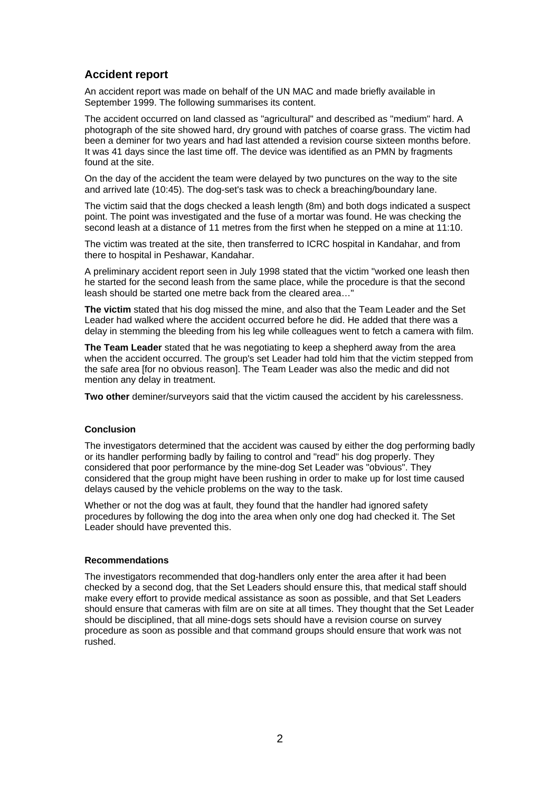### **Accident report**

An accident report was made on behalf of the UN MAC and made briefly available in September 1999. The following summarises its content.

The accident occurred on land classed as "agricultural" and described as "medium" hard. A photograph of the site showed hard, dry ground with patches of coarse grass. The victim had been a deminer for two years and had last attended a revision course sixteen months before. It was 41 days since the last time off. The device was identified as an PMN by fragments found at the site.

On the day of the accident the team were delayed by two punctures on the way to the site and arrived late (10:45). The dog-set's task was to check a breaching/boundary lane.

The victim said that the dogs checked a leash length (8m) and both dogs indicated a suspect point. The point was investigated and the fuse of a mortar was found. He was checking the second leash at a distance of 11 metres from the first when he stepped on a mine at 11:10.

The victim was treated at the site, then transferred to ICRC hospital in Kandahar, and from there to hospital in Peshawar, Kandahar.

A preliminary accident report seen in July 1998 stated that the victim "worked one leash then he started for the second leash from the same place, while the procedure is that the second leash should be started one metre back from the cleared area…"

**The victim** stated that his dog missed the mine, and also that the Team Leader and the Set Leader had walked where the accident occurred before he did. He added that there was a delay in stemming the bleeding from his leg while colleagues went to fetch a camera with film.

**The Team Leader** stated that he was negotiating to keep a shepherd away from the area when the accident occurred. The group's set Leader had told him that the victim stepped from the safe area [for no obvious reason]. The Team Leader was also the medic and did not mention any delay in treatment.

**Two other** deminer/surveyors said that the victim caused the accident by his carelessness.

#### **Conclusion**

The investigators determined that the accident was caused by either the dog performing badly or its handler performing badly by failing to control and "read" his dog properly. They considered that poor performance by the mine-dog Set Leader was "obvious". They considered that the group might have been rushing in order to make up for lost time caused delays caused by the vehicle problems on the way to the task.

Whether or not the dog was at fault, they found that the handler had ignored safety procedures by following the dog into the area when only one dog had checked it. The Set Leader should have prevented this.

#### **Recommendations**

The investigators recommended that dog-handlers only enter the area after it had been checked by a second dog, that the Set Leaders should ensure this, that medical staff should make every effort to provide medical assistance as soon as possible, and that Set Leaders should ensure that cameras with film are on site at all times. They thought that the Set Leader should be disciplined, that all mine-dogs sets should have a revision course on survey procedure as soon as possible and that command groups should ensure that work was not rushed.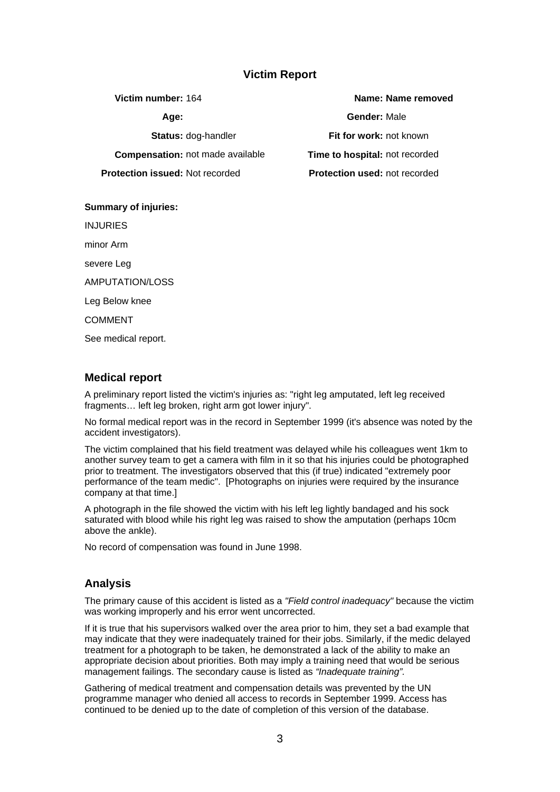### **Victim Report**

**Protection issued:** Not recorded **Protection used:** not recorded

**Summary of injuries:**

INJURIES

minor Arm

severe Leg

AMPUTATION/LOSS

Leg Below knee

COMMENT

See medical report.

### **Medical report**

A preliminary report listed the victim's injuries as: "right leg amputated, left leg received fragments… left leg broken, right arm got lower injury".

No formal medical report was in the record in September 1999 (it's absence was noted by the accident investigators).

The victim complained that his field treatment was delayed while his colleagues went 1km to another survey team to get a camera with film in it so that his injuries could be photographed prior to treatment. The investigators observed that this (if true) indicated "extremely poor performance of the team medic". [Photographs on injuries were required by the insurance company at that time.]

A photograph in the file showed the victim with his left leg lightly bandaged and his sock saturated with blood while his right leg was raised to show the amputation (perhaps 10cm above the ankle).

No record of compensation was found in June 1998.

### **Analysis**

The primary cause of this accident is listed as a *"Field control inadequacy"* because the victim was working improperly and his error went uncorrected.

If it is true that his supervisors walked over the area prior to him, they set a bad example that may indicate that they were inadequately trained for their jobs. Similarly, if the medic delayed treatment for a photograph to be taken, he demonstrated a lack of the ability to make an appropriate decision about priorities. Both may imply a training need that would be serious management failings. The secondary cause is listed as *"Inadequate training".*

Gathering of medical treatment and compensation details was prevented by the UN programme manager who denied all access to records in September 1999. Access has continued to be denied up to the date of completion of this version of the database.

**Victim number:** 164 **Name: Name removed Age: Gender:** Male **Status:** dog-handler **Fit for work:** not known **Compensation:** not made available **Time to hospital:** not recorded